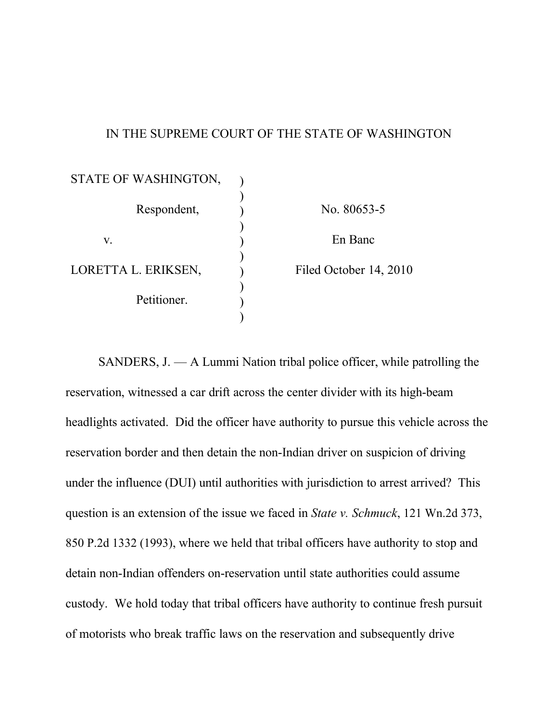# IN THE SUPREME COURT OF THE STATE OF WASHINGTON

| STATE OF WASHINGTON, |                        |
|----------------------|------------------------|
| Respondent,          | No. 80653-5            |
| V.                   | En Banc                |
| LORETTA L. ERIKSEN,  | Filed October 14, 2010 |
| Petitioner.          |                        |
|                      |                        |

SANDERS, J. — A Lummi Nation tribal police officer, while patrolling the reservation, witnessed a car drift across the center divider with its high-beam headlights activated. Did the officer have authority to pursue this vehicle across the reservation border and then detain the non-Indian driver on suspicion of driving under the influence (DUI) until authorities with jurisdiction to arrest arrived? This question is an extension of the issue we faced in *State v. Schmuck*, 121 Wn.2d 373, 850 P.2d 1332 (1993), where we held that tribal officers have authority to stop and detain non-Indian offenders on-reservation until state authorities could assume custody. We hold today that tribal officers have authority to continue fresh pursuit of motorists who break traffic laws on the reservation and subsequently drive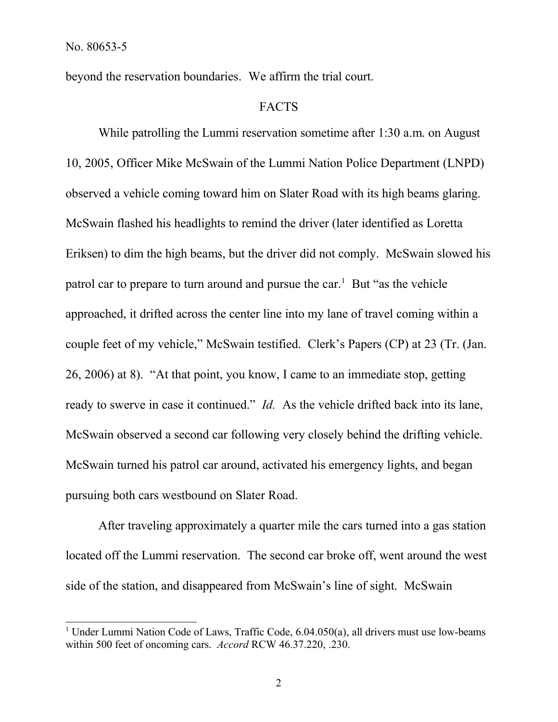beyond the reservation boundaries. We affirm the trial court.

#### **FACTS**

While patrolling the Lummi reservation sometime after 1:30 a.m. on August 10, 2005, Officer Mike McSwain of the Lummi Nation Police Department (LNPD) observed a vehicle coming toward him on Slater Road with its high beams glaring. McSwain flashed his headlights to remind the driver (later identified as Loretta Eriksen) to dim the high beams, but the driver did not comply. McSwain slowed his patrol car to prepare to turn around and pursue the car. <sup>1</sup> But "as the vehicle approached, it drifted across the center line into my lane of travel coming within a couple feet of my vehicle," McSwain testified. Clerk's Papers (CP) at 23 (Tr. (Jan. 26, 2006) at 8). "At that point, you know, I came to an immediate stop, getting ready to swerve in case it continued." *Id.* As the vehicle drifted back into its lane, McSwain observed a second car following very closely behind the drifting vehicle. McSwain turned his patrol car around, activated his emergency lights, and began pursuing both cars westbound on Slater Road.

After traveling approximately a quarter mile the cars turned into a gas station located off the Lummi reservation. The second car broke off, went around the west side of the station, and disappeared from McSwain's line of sight. McSwain

<sup>&</sup>lt;sup>1</sup> Under Lummi Nation Code of Laws, Traffic Code, 6.04.050(a), all drivers must use low-beams within 500 feet of oncoming cars. *Accord* RCW 46.37.220, .230.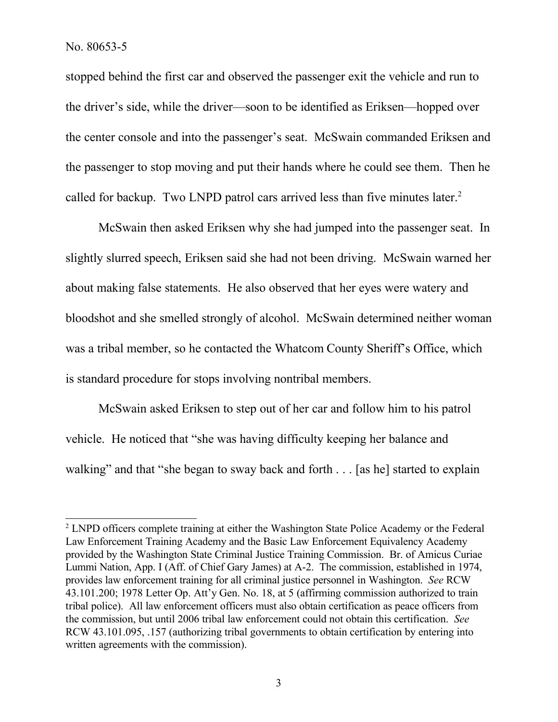stopped behind the first car and observed the passenger exit the vehicle and run to the driver's side, while the driver—soon to be identified as Eriksen—hopped over the center console and into the passenger's seat. McSwain commanded Eriksen and the passenger to stop moving and put their hands where he could see them. Then he called for backup. Two LNPD patrol cars arrived less than five minutes later.<sup>2</sup>

McSwain then asked Eriksen why she had jumped into the passenger seat. In slightly slurred speech, Eriksen said she had not been driving. McSwain warned her about making false statements. He also observed that her eyes were watery and bloodshot and she smelled strongly of alcohol. McSwain determined neither woman was a tribal member, so he contacted the Whatcom County Sheriff's Office, which is standard procedure for stops involving nontribal members.

McSwain asked Eriksen to step out of her car and follow him to his patrol vehicle. He noticed that "she was having difficulty keeping her balance and walking" and that "she began to sway back and forth . . . [as he] started to explain

<sup>&</sup>lt;sup>2</sup> LNPD officers complete training at either the Washington State Police Academy or the Federal Law Enforcement Training Academy and the Basic Law Enforcement Equivalency Academy provided by the Washington State Criminal Justice Training Commission. Br. of Amicus Curiae Lummi Nation, App. I (Aff. of Chief Gary James) at A-2. The commission, established in 1974, provides law enforcement training for all criminal justice personnel in Washington. *See* RCW 43.101.200; 1978 Letter Op. Att'y Gen. No. 18, at 5 (affirming commission authorized to train tribal police). All law enforcement officers must also obtain certification as peace officers from the commission, but until 2006 tribal law enforcement could not obtain this certification. *See*  RCW 43.101.095, .157 (authorizing tribal governments to obtain certification by entering into written agreements with the commission).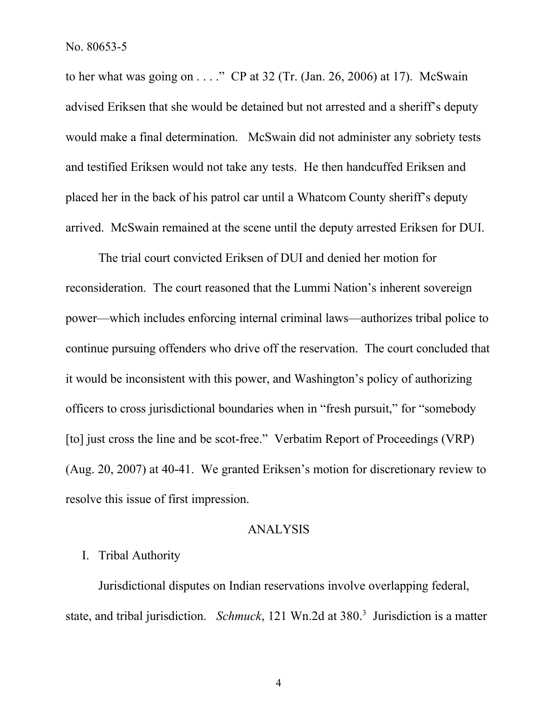to her what was going on  $\dots$ ." CP at 32 (Tr. (Jan. 26, 2006) at 17). McSwain advised Eriksen that she would be detained but not arrested and a sheriff's deputy would make a final determination. McSwain did not administer any sobriety tests and testified Eriksen would not take any tests. He then handcuffed Eriksen and placed her in the back of his patrol car until a Whatcom County sheriff's deputy arrived. McSwain remained at the scene until the deputy arrested Eriksen for DUI.

The trial court convicted Eriksen of DUI and denied her motion for reconsideration. The court reasoned that the Lummi Nation's inherent sovereign power—which includes enforcing internal criminal laws—authorizes tribal police to continue pursuing offenders who drive off the reservation. The court concluded that it would be inconsistent with this power, and Washington's policy of authorizing officers to cross jurisdictional boundaries when in "fresh pursuit," for "somebody [to] just cross the line and be scot-free." Verbatim Report of Proceedings (VRP) (Aug. 20, 2007) at 40-41. We granted Eriksen's motion for discretionary review to resolve this issue of first impression.

## ANALYSIS

# I. Tribal Authority

Jurisdictional disputes on Indian reservations involve overlapping federal, state, and tribal jurisdiction. *Schmuck*, 121 Wn.2d at 380.<sup>3</sup> Jurisdiction is a matter

4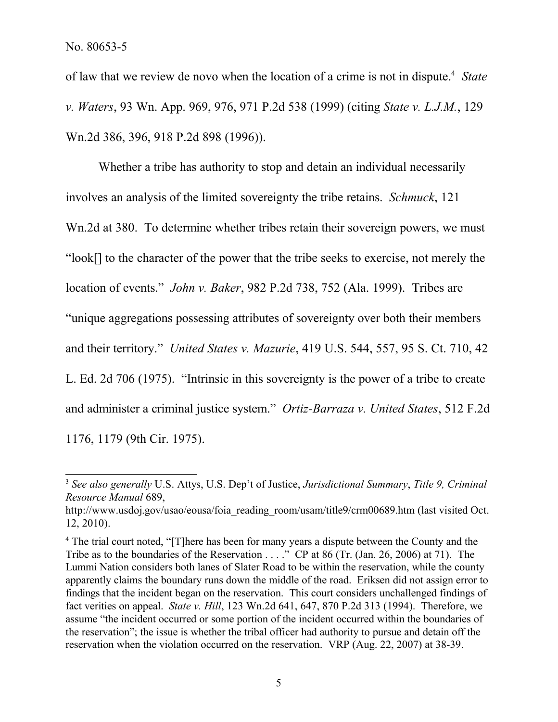of law that we review de novo when the location of a crime is not in dispute.<sup>4</sup> State *v. Waters*, 93 Wn. App. 969, 976, 971 P.2d 538 (1999) (citing *State v. L.J.M.*, 129 Wn.2d 386, 396, 918 P.2d 898 (1996)).

Whether a tribe has authority to stop and detain an individual necessarily involves an analysis of the limited sovereignty the tribe retains. *Schmuck*, 121 Wn.2d at 380. To determine whether tribes retain their sovereign powers, we must "look[] to the character of the power that the tribe seeks to exercise, not merely the location of events." *John v. Baker*, 982 P.2d 738, 752 (Ala. 1999). Tribes are "unique aggregations possessing attributes of sovereignty over both their members and their territory." *United States v. Mazurie*, 419 U.S. 544, 557, 95 S. Ct. 710, 42 L. Ed. 2d 706 (1975). "Intrinsic in this sovereignty is the power of a tribe to create and administer a criminal justice system." *Ortiz-Barraza v. United States*, 512 F.2d 1176, 1179 (9th Cir. 1975).

<sup>3</sup> *See also generally* U.S. Attys, U.S. Dep't of Justice, *Jurisdictional Summary*, *Title 9, Criminal Resource Manual* 689,

http://www.usdoj.gov/usao/eousa/foia\_reading\_room/usam/title9/crm00689.htm (last visited Oct. 12, 2010).

<sup>&</sup>lt;sup>4</sup> The trial court noted, "[T]here has been for many years a dispute between the County and the Tribe as to the boundaries of the Reservation . . . ." CP at 86 (Tr. (Jan. 26, 2006) at 71). The Lummi Nation considers both lanes of Slater Road to be within the reservation, while the county apparently claims the boundary runs down the middle of the road. Eriksen did not assign error to findings that the incident began on the reservation. This court considers unchallenged findings of fact verities on appeal. *State v. Hill*, 123 Wn.2d 641, 647, 870 P.2d 313 (1994). Therefore, we assume "the incident occurred or some portion of the incident occurred within the boundaries of the reservation"; the issue is whether the tribal officer had authority to pursue and detain off the reservation when the violation occurred on the reservation. VRP (Aug. 22, 2007) at 38-39.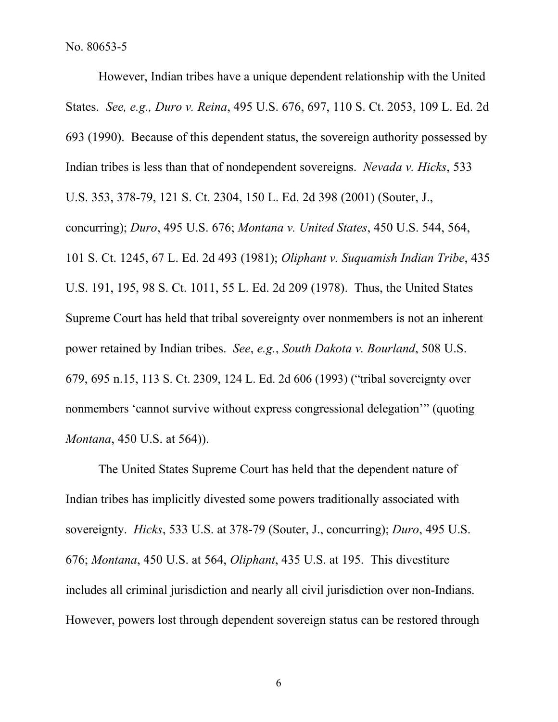However, Indian tribes have a unique dependent relationship with the United States. *See, e.g., Duro v. Reina*, 495 U.S. 676, 697, 110 S. Ct. 2053, 109 L. Ed. 2d 693 (1990). Because of this dependent status, the sovereign authority possessed by Indian tribes is less than that of nondependent sovereigns. *Nevada v. Hicks*, 533 U.S. 353, 378-79, 121 S. Ct. 2304, 150 L. Ed. 2d 398 (2001) (Souter, J., concurring); *Duro*, 495 U.S. 676; *Montana v. United States*, 450 U.S. 544, 564, 101 S. Ct. 1245, 67 L. Ed. 2d 493 (1981); *Oliphant v. Suquamish Indian Tribe*, 435 U.S. 191, 195, 98 S. Ct. 1011, 55 L. Ed. 2d 209 (1978). Thus, the United States Supreme Court has held that tribal sovereignty over nonmembers is not an inherent power retained by Indian tribes. *See*, *e.g.*, *South Dakota v. Bourland*, 508 U.S. 679, 695 n.15, 113 S. Ct. 2309, 124 L. Ed. 2d 606 (1993) ("tribal sovereignty over nonmembers 'cannot survive without express congressional delegation'" (quoting *Montana*, 450 U.S. at 564)).

The United States Supreme Court has held that the dependent nature of Indian tribes has implicitly divested some powers traditionally associated with sovereignty. *Hicks*, 533 U.S. at 378-79 (Souter, J., concurring); *Duro*, 495 U.S. 676; *Montana*, 450 U.S. at 564, *Oliphant*, 435 U.S. at 195. This divestiture includes all criminal jurisdiction and nearly all civil jurisdiction over non-Indians. However, powers lost through dependent sovereign status can be restored through

6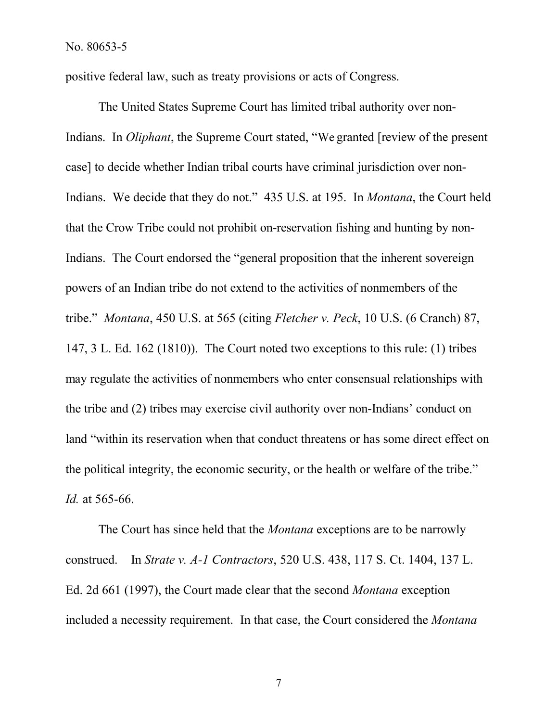positive federal law, such as treaty provisions or acts of Congress.

The United States Supreme Court has limited tribal authority over non-Indians. In *Oliphant*, the Supreme Court stated, "We granted [review of the present case] to decide whether Indian tribal courts have criminal jurisdiction over non-Indians. We decide that they do not." 435 U.S. at 195. In *Montana*, the Court held that the Crow Tribe could not prohibit on-reservation fishing and hunting by non-Indians. The Court endorsed the "general proposition that the inherent sovereign powers of an Indian tribe do not extend to the activities of nonmembers of the tribe." *Montana*, 450 U.S. at 565 (citing *Fletcher v. Peck*, 10 U.S. (6 Cranch) 87, 147, 3 L. Ed. 162 (1810)). The Court noted two exceptions to this rule: (1) tribes may regulate the activities of nonmembers who enter consensual relationships with the tribe and (2) tribes may exercise civil authority over non-Indians' conduct on land "within its reservation when that conduct threatens or has some direct effect on the political integrity, the economic security, or the health or welfare of the tribe." *Id.* at 565-66.

The Court has since held that the *Montana* exceptions are to be narrowly construed. In *Strate v. A-1 Contractors*, 520 U.S. 438, 117 S. Ct. 1404, 137 L. Ed. 2d 661 (1997), the Court made clear that the second *Montana* exception included a necessity requirement. In that case, the Court considered the *Montana* 

7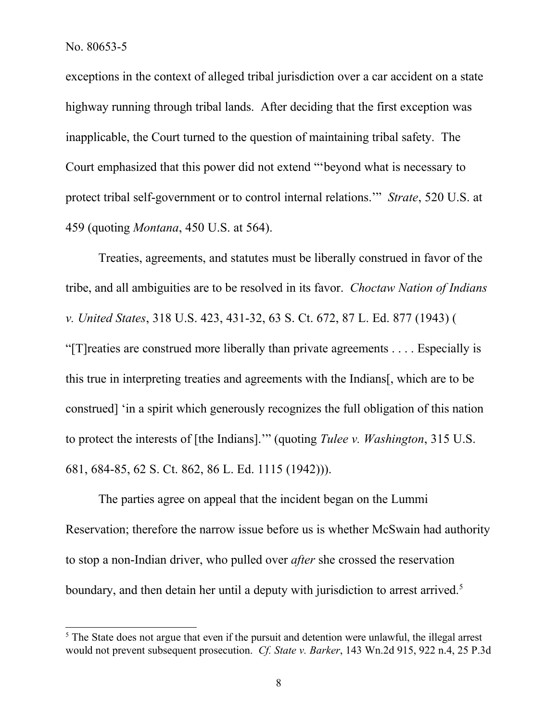exceptions in the context of alleged tribal jurisdiction over a car accident on a state highway running through tribal lands. After deciding that the first exception was inapplicable, the Court turned to the question of maintaining tribal safety. The Court emphasized that this power did not extend "'beyond what is necessary to protect tribal self-government or to control internal relations.'" *Strate*, 520 U.S. at 459 (quoting *Montana*, 450 U.S. at 564).

Treaties, agreements, and statutes must be liberally construed in favor of the tribe, and all ambiguities are to be resolved in its favor. *Choctaw Nation of Indians v. United States*, 318 U.S. 423, 431-32, 63 S. Ct. 672, 87 L. Ed. 877 (1943) ( "[T]reaties are construed more liberally than private agreements . . . . Especially is this true in interpreting treaties and agreements with the Indians[, which are to be construed] 'in a spirit which generously recognizes the full obligation of this nation to protect the interests of [the Indians].'" (quoting *Tulee v. Washington*, 315 U.S. 681, 684-85, 62 S. Ct. 862, 86 L. Ed. 1115 (1942))).

The parties agree on appeal that the incident began on the Lummi Reservation; therefore the narrow issue before us is whether McSwain had authority to stop a non-Indian driver, who pulled over *after* she crossed the reservation boundary, and then detain her until a deputy with jurisdiction to arrest arrived.<sup>5</sup>

<sup>&</sup>lt;sup>5</sup> The State does not argue that even if the pursuit and detention were unlawful, the illegal arrest would not prevent subsequent prosecution. *Cf. State v. Barker*, 143 Wn.2d 915, 922 n.4, 25 P.3d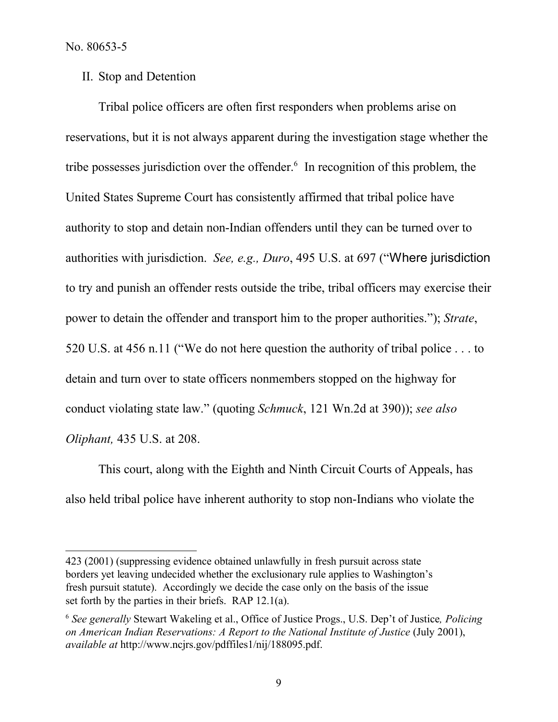II. Stop and Detention

Tribal police officers are often first responders when problems arise on reservations, but it is not always apparent during the investigation stage whether the tribe possesses jurisdiction over the offender.<sup>6</sup> In recognition of this problem, the United States Supreme Court has consistently affirmed that tribal police have authority to stop and detain non-Indian offenders until they can be turned over to authorities with jurisdiction. *See, e.g., Duro*, 495 U.S. at 697 ("Where jurisdiction to try and punish an offender rests outside the tribe, tribal officers may exercise their power to detain the offender and transport him to the proper authorities."); *Strate*, 520 U.S. at 456 n.11 ("We do not here question the authority of tribal police . . . to detain and turn over to state officers nonmembers stopped on the highway for conduct violating state law." (quoting *Schmuck*, 121 Wn.2d at 390)); *see also Oliphant,* 435 U.S. at 208.

This court, along with the Eighth and Ninth Circuit Courts of Appeals, has also held tribal police have inherent authority to stop non-Indians who violate the

<sup>423 (2001) (</sup>suppressing evidence obtained unlawfully in fresh pursuit across state borders yet leaving undecided whether the exclusionary rule applies to Washington's fresh pursuit statute). Accordingly we decide the case only on the basis of the issue set forth by the parties in their briefs. RAP 12.1(a).

<sup>6</sup> *See generally* Stewart Wakeling et al., Office of Justice Progs., U.S. Dep't of Justice*, Policing on American Indian Reservations: A Report to the National Institute of Justice* (July 2001), *available at* http://www.ncjrs.gov/pdffiles1/nij/188095.pdf.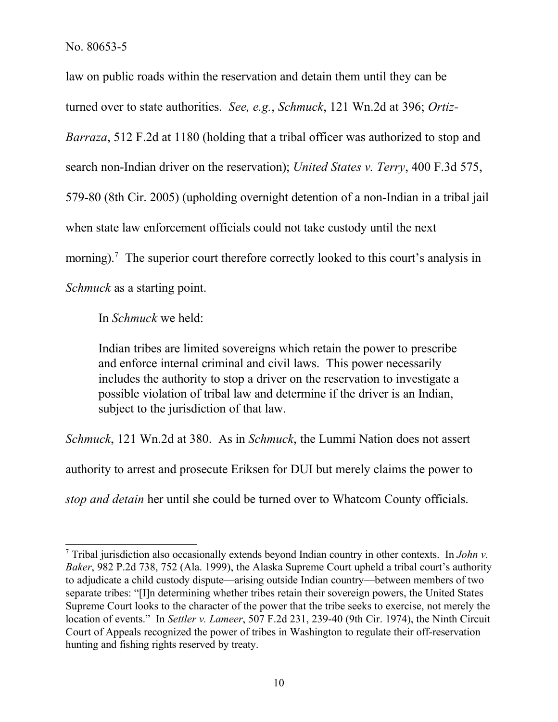law on public roads within the reservation and detain them until they can be turned over to state authorities. *See, e.g.*, *Schmuck*, 121 Wn.2d at 396; *Ortiz-Barraza*, 512 F.2d at 1180 (holding that a tribal officer was authorized to stop and search non-Indian driver on the reservation); *United States v. Terry*, 400 F.3d 575, 579-80 (8th Cir. 2005) (upholding overnight detention of a non-Indian in a tribal jail when state law enforcement officials could not take custody until the next morning).<sup>7</sup> The superior court therefore correctly looked to this court's analysis in *Schmuck* as a starting point.

In *Schmuck* we held:

Indian tribes are limited sovereigns which retain the power to prescribe and enforce internal criminal and civil laws. This power necessarily includes the authority to stop a driver on the reservation to investigate a possible violation of tribal law and determine if the driver is an Indian, subject to the jurisdiction of that law.

*Schmuck*, 121 Wn.2d at 380. As in *Schmuck*, the Lummi Nation does not assert

authority to arrest and prosecute Eriksen for DUI but merely claims the power to

*stop and detain* her until she could be turned over to Whatcom County officials.

<sup>7</sup> Tribal jurisdiction also occasionally extends beyond Indian country in other contexts. In *John v. Baker*, 982 P.2d 738, 752 (Ala. 1999), the Alaska Supreme Court upheld a tribal court's authority to adjudicate a child custody dispute—arising outside Indian country—between members of two separate tribes: "[I]n determining whether tribes retain their sovereign powers, the United States Supreme Court looks to the character of the power that the tribe seeks to exercise, not merely the location of events." In *Settler v. Lameer*, 507 F.2d 231, 239-40 (9th Cir. 1974), the Ninth Circuit Court of Appeals recognized the power of tribes in Washington to regulate their off-reservation hunting and fishing rights reserved by treaty.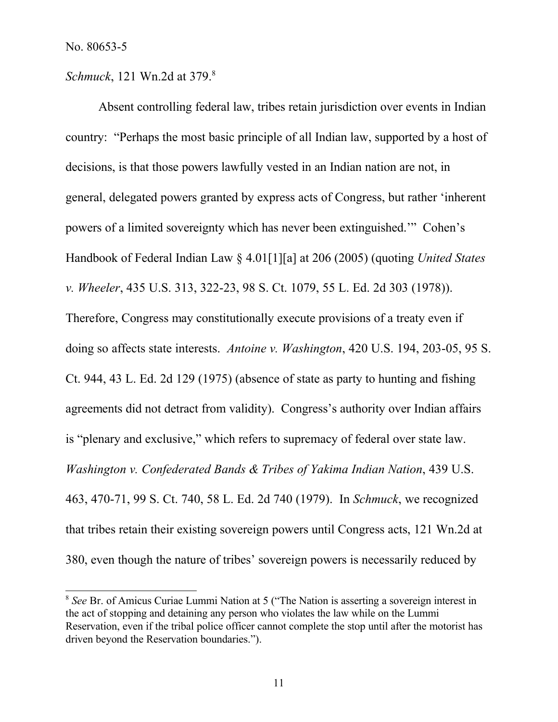*Schmuck*, 121 Wn.2d at 379. 8

Absent controlling federal law, tribes retain jurisdiction over events in Indian country: "Perhaps the most basic principle of all Indian law, supported by a host of decisions, is that those powers lawfully vested in an Indian nation are not, in general, delegated powers granted by express acts of Congress, but rather 'inherent powers of a limited sovereignty which has never been extinguished.'" Cohen's Handbook of Federal Indian Law § 4.01[1][a] at 206 (2005) (quoting *United States v. Wheeler*, 435 U.S. 313, 322-23, 98 S. Ct. 1079, 55 L. Ed. 2d 303 (1978)). Therefore, Congress may constitutionally execute provisions of a treaty even if doing so affects state interests. *Antoine v. Washington*, 420 U.S. 194, 203-05, 95 S. Ct. 944, 43 L. Ed. 2d 129 (1975) (absence of state as party to hunting and fishing agreements did not detract from validity). Congress's authority over Indian affairs is "plenary and exclusive," which refers to supremacy of federal over state law. *Washington v. Confederated Bands & Tribes of Yakima Indian Nation*, 439 U.S. 463, 470-71, 99 S. Ct. 740, 58 L. Ed. 2d 740 (1979). In *Schmuck*, we recognized that tribes retain their existing sovereign powers until Congress acts, 121 Wn.2d at 380, even though the nature of tribes' sovereign powers is necessarily reduced by

<sup>8</sup> *See* Br. of Amicus Curiae Lummi Nation at 5 ("The Nation is asserting a sovereign interest in the act of stopping and detaining any person who violates the law while on the Lummi Reservation, even if the tribal police officer cannot complete the stop until after the motorist has driven beyond the Reservation boundaries.").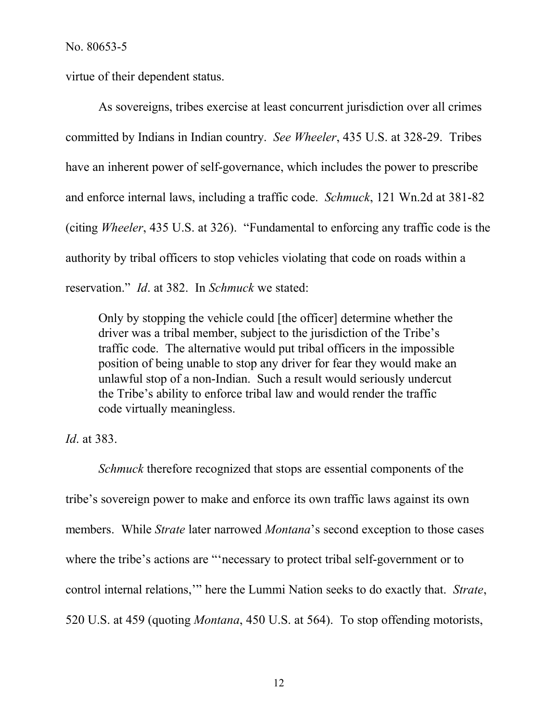virtue of their dependent status.

As sovereigns, tribes exercise at least concurrent jurisdiction over all crimes committed by Indians in Indian country. *See Wheeler*, 435 U.S. at 328-29. Tribes have an inherent power of self-governance, which includes the power to prescribe and enforce internal laws, including a traffic code. *Schmuck*, 121 Wn.2d at 381-82 (citing *Wheeler*, 435 U.S. at 326). "Fundamental to enforcing any traffic code is the authority by tribal officers to stop vehicles violating that code on roads within a reservation." *Id*. at 382. In *Schmuck* we stated:

Only by stopping the vehicle could [the officer] determine whether the driver was a tribal member, subject to the jurisdiction of the Tribe's traffic code. The alternative would put tribal officers in the impossible position of being unable to stop any driver for fear they would make an unlawful stop of a non-Indian. Such a result would seriously undercut the Tribe's ability to enforce tribal law and would render the traffic code virtually meaningless.

*Id*. at 383.

*Schmuck* therefore recognized that stops are essential components of the tribe's sovereign power to make and enforce its own traffic laws against its own members. While *Strate* later narrowed *Montana*'s second exception to those cases where the tribe's actions are "'necessary to protect tribal self-government or to control internal relations,'" here the Lummi Nation seeks to do exactly that. *Strate*, 520 U.S. at 459 (quoting *Montana*, 450 U.S. at 564). To stop offending motorists,

12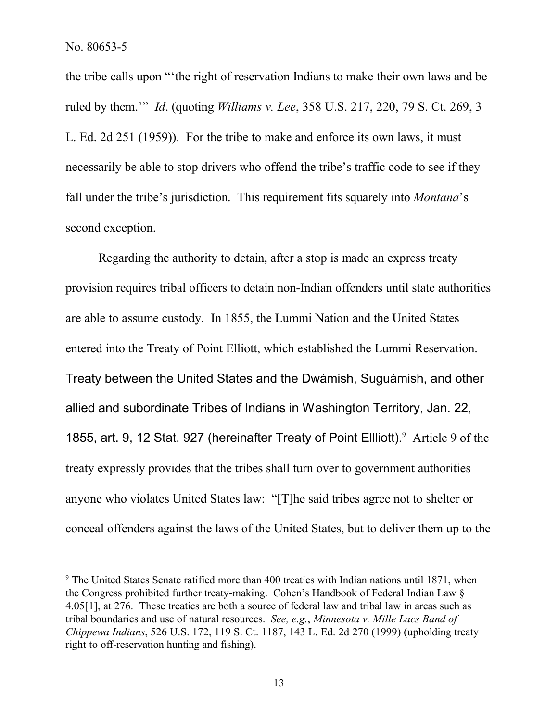the tribe calls upon "'the right of reservation Indians to make their own laws and be ruled by them.'" *Id*. (quoting *Williams v. Lee*, 358 U.S. 217, 220, 79 S. Ct. 269, 3 L. Ed. 2d 251 (1959)). For the tribe to make and enforce its own laws, it must necessarily be able to stop drivers who offend the tribe's traffic code to see if they fall under the tribe's jurisdiction. This requirement fits squarely into *Montana*'s second exception.

Regarding the authority to detain, after a stop is made an express treaty provision requires tribal officers to detain non-Indian offenders until state authorities are able to assume custody. In 1855, the Lummi Nation and the United States entered into the Treaty of Point Elliott, which established the Lummi Reservation. Treaty between the United States and the Dwámish, Suguámish, and other allied and subordinate Tribes of Indians in Washington Territory, Jan. 22, 1855, art. 9, 12 Stat. 927 (hereinafter Treaty of Point Ellliott). <sup>9</sup> Article 9 of the treaty expressly provides that the tribes shall turn over to government authorities anyone who violates United States law: "[T]he said tribes agree not to shelter or conceal offenders against the laws of the United States, but to deliver them up to the

<sup>&</sup>lt;sup>9</sup> The United States Senate ratified more than 400 treaties with Indian nations until 1871, when the Congress prohibited further treaty-making. Cohen's Handbook of Federal Indian Law § 4.05[1], at 276. These treaties are both a source of federal law and tribal law in areas such as tribal boundaries and use of natural resources. *See, e.g.*, *Minnesota v. Mille Lacs Band of Chippewa Indians*, 526 U.S. 172, 119 S. Ct. 1187, 143 L. Ed. 2d 270 (1999) (upholding treaty right to off-reservation hunting and fishing).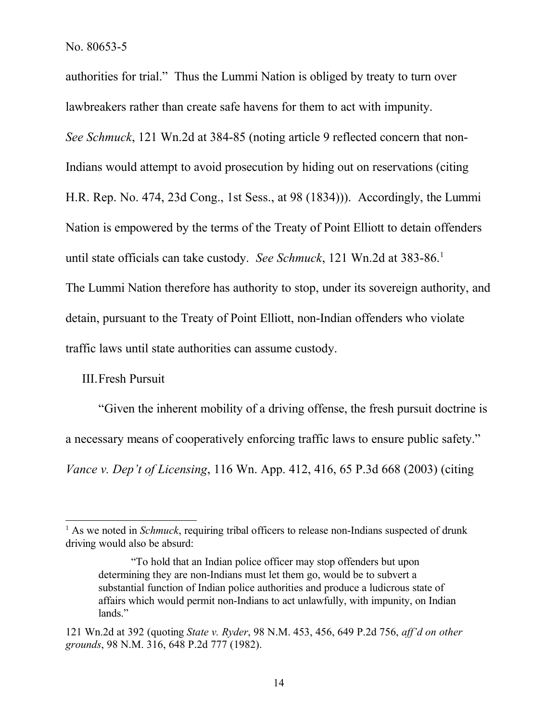authorities for trial." Thus the Lummi Nation is obliged by treaty to turn over lawbreakers rather than create safe havens for them to act with impunity. *See Schmuck*, 121 Wn.2d at 384-85 (noting article 9 reflected concern that non-Indians would attempt to avoid prosecution by hiding out on reservations (citing H.R. Rep. No. 474, 23d Cong., 1st Sess., at 98 (1834))). Accordingly, the Lummi Nation is empowered by the terms of the Treaty of Point Elliott to detain offenders until state officials can take custody. *See Schmuck*, 121 Wn.2d at 383-86.<sup>1</sup> The Lummi Nation therefore has authority to stop, under its sovereign authority, and detain, pursuant to the Treaty of Point Elliott, non-Indian offenders who violate traffic laws until state authorities can assume custody.

# III.Fresh Pursuit

"Given the inherent mobility of a driving offense, the fresh pursuit doctrine is a necessary means of cooperatively enforcing traffic laws to ensure public safety." *Vance v. Dep't of Licensing*, 116 Wn. App. 412, 416, 65 P.3d 668 (2003) (citing

<sup>&</sup>lt;sup>1</sup> As we noted in *Schmuck*, requiring tribal officers to release non-Indians suspected of drunk driving would also be absurd:

<sup>&</sup>quot;To hold that an Indian police officer may stop offenders but upon determining they are non-Indians must let them go, would be to subvert a substantial function of Indian police authorities and produce a ludicrous state of affairs which would permit non-Indians to act unlawfully, with impunity, on Indian lands."

<sup>121</sup> Wn.2d at 392 (quoting *State v. Ryder*, 98 N.M. 453, 456, 649 P.2d 756, *aff'd on other grounds*, 98 N.M. 316, 648 P.2d 777 (1982).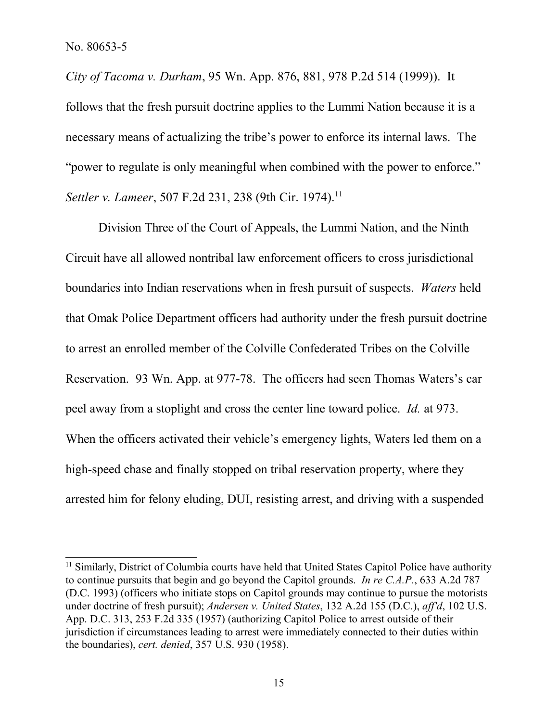*City of Tacoma v. Durham*, 95 Wn. App. 876, 881, 978 P.2d 514 (1999)). It follows that the fresh pursuit doctrine applies to the Lummi Nation because it is a necessary means of actualizing the tribe's power to enforce its internal laws. The "power to regulate is only meaningful when combined with the power to enforce." *Settler v. Lameer*, 507 F.2d 231, 238 (9th Cir. 1974).<sup>11</sup>

Division Three of the Court of Appeals, the Lummi Nation, and the Ninth Circuit have all allowed nontribal law enforcement officers to cross jurisdictional boundaries into Indian reservations when in fresh pursuit of suspects. *Waters* held that Omak Police Department officers had authority under the fresh pursuit doctrine to arrest an enrolled member of the Colville Confederated Tribes on the Colville Reservation. 93 Wn. App. at 977-78. The officers had seen Thomas Waters's car peel away from a stoplight and cross the center line toward police. *Id.* at 973. When the officers activated their vehicle's emergency lights, Waters led them on a high-speed chase and finally stopped on tribal reservation property, where they arrested him for felony eluding, DUI, resisting arrest, and driving with a suspended

<sup>&</sup>lt;sup>11</sup> Similarly, District of Columbia courts have held that United States Capitol Police have authority to continue pursuits that begin and go beyond the Capitol grounds. *In re C.A.P.*, 633 A.2d 787 (D.C. 1993) (officers who initiate stops on Capitol grounds may continue to pursue the motorists under doctrine of fresh pursuit); *Andersen v. United States*, 132 A.2d 155 (D.C.), *aff'd*, 102 U.S. App. D.C. 313, 253 F.2d 335 (1957) (authorizing Capitol Police to arrest outside of their jurisdiction if circumstances leading to arrest were immediately connected to their duties within the boundaries), *cert. denied*, 357 U.S. 930 (1958).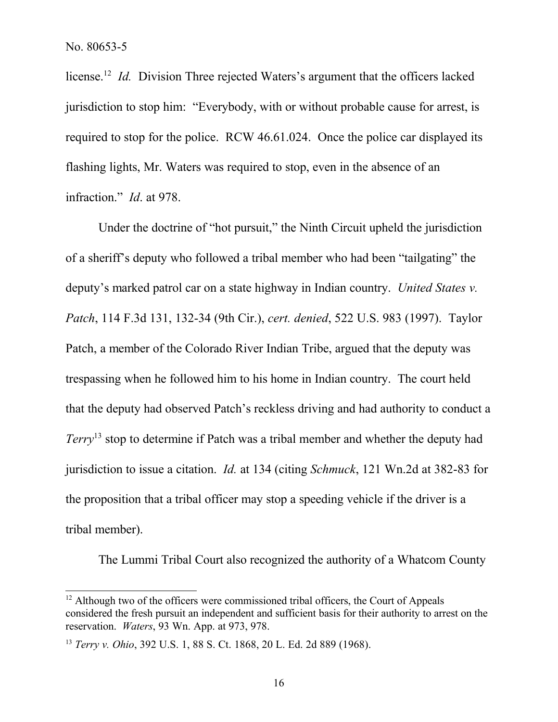license.<sup>12</sup> *Id.* Division Three rejected Waters's argument that the officers lacked jurisdiction to stop him: "Everybody, with or without probable cause for arrest, is required to stop for the police. RCW 46.61.024. Once the police car displayed its flashing lights, Mr. Waters was required to stop, even in the absence of an infraction." *Id*. at 978.

Under the doctrine of "hot pursuit," the Ninth Circuit upheld the jurisdiction of a sheriff's deputy who followed a tribal member who had been "tailgating" the deputy's marked patrol car on a state highway in Indian country. *United States v. Patch*, 114 F.3d 131, 132-34 (9th Cir.), *cert. denied*, 522 U.S. 983 (1997). Taylor Patch, a member of the Colorado River Indian Tribe, argued that the deputy was trespassing when he followed him to his home in Indian country. The court held that the deputy had observed Patch's reckless driving and had authority to conduct a *Terry*<sup>13</sup> stop to determine if Patch was a tribal member and whether the deputy had jurisdiction to issue a citation. *Id.* at 134 (citing *Schmuck*, 121 Wn.2d at 382-83 for the proposition that a tribal officer may stop a speeding vehicle if the driver is a tribal member).

The Lummi Tribal Court also recognized the authority of a Whatcom County

<sup>&</sup>lt;sup>12</sup> Although two of the officers were commissioned tribal officers, the Court of Appeals considered the fresh pursuit an independent and sufficient basis for their authority to arrest on the reservation. *Waters*, 93 Wn. App. at 973, 978.

<sup>13</sup> *Terry v. Ohio*, 392 U.S. 1, 88 S. Ct. 1868, 20 L. Ed. 2d 889 (1968).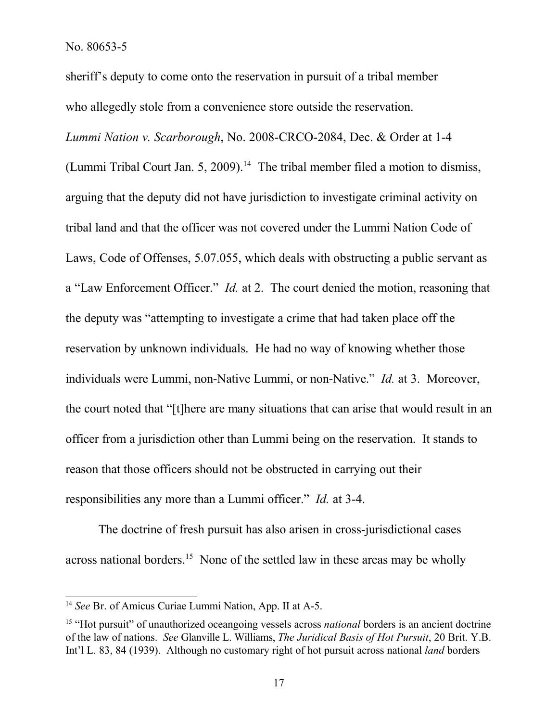sheriff's deputy to come onto the reservation in pursuit of a tribal member who allegedly stole from a convenience store outside the reservation.

*Lummi Nation v. Scarborough*, No. 2008-CRCO-2084, Dec. & Order at 1-4 (Lummi Tribal Court Jan. 5, 2009).<sup>14</sup> The tribal member filed a motion to dismiss, arguing that the deputy did not have jurisdiction to investigate criminal activity on tribal land and that the officer was not covered under the Lummi Nation Code of Laws, Code of Offenses, 5.07.055, which deals with obstructing a public servant as a "Law Enforcement Officer." *Id.* at 2. The court denied the motion, reasoning that the deputy was "attempting to investigate a crime that had taken place off the reservation by unknown individuals. He had no way of knowing whether those individuals were Lummi, non-Native Lummi, or non-Native." *Id.* at 3. Moreover, the court noted that "[t]here are many situations that can arise that would result in an officer from a jurisdiction other than Lummi being on the reservation. It stands to reason that those officers should not be obstructed in carrying out their responsibilities any more than a Lummi officer." *Id.* at 3-4.

The doctrine of fresh pursuit has also arisen in cross-jurisdictional cases across national borders.<sup>15</sup> None of the settled law in these areas may be wholly

<sup>14</sup> *See* Br. of Amicus Curiae Lummi Nation, App. II at A-5.

<sup>&</sup>lt;sup>15</sup> "Hot pursuit" of unauthorized oceangoing vessels across *national* borders is an ancient doctrine of the law of nations. *See* Glanville L. Williams, *The Juridical Basis of Hot Pursuit*, 20 Brit. Y.B. Int'l L. 83, 84 (1939). Although no customary right of hot pursuit across national *land* borders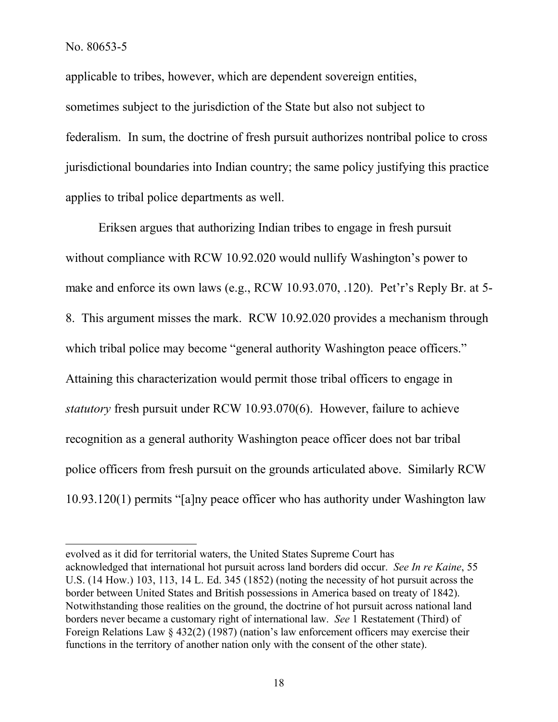applicable to tribes, however, which are dependent sovereign entities, sometimes subject to the jurisdiction of the State but also not subject to federalism. In sum, the doctrine of fresh pursuit authorizes nontribal police to cross jurisdictional boundaries into Indian country; the same policy justifying this practice applies to tribal police departments as well.

Eriksen argues that authorizing Indian tribes to engage in fresh pursuit without compliance with RCW 10.92.020 would nullify Washington's power to make and enforce its own laws (e.g., RCW 10.93.070, .120). Pet'r's Reply Br. at 5- 8. This argument misses the mark. RCW 10.92.020 provides a mechanism through which tribal police may become "general authority Washington peace officers." Attaining this characterization would permit those tribal officers to engage in *statutory* fresh pursuit under RCW 10.93.070(6). However, failure to achieve recognition as a general authority Washington peace officer does not bar tribal police officers from fresh pursuit on the grounds articulated above. Similarly RCW 10.93.120(1) permits "[a]ny peace officer who has authority under Washington law

evolved as it did for territorial waters, the United States Supreme Court has acknowledged that international hot pursuit across land borders did occur. *See In re Kaine*, 55 U.S. (14 How.) 103, 113, 14 L. Ed. 345 (1852) (noting the necessity of hot pursuit across the border between United States and British possessions in America based on treaty of 1842). Notwithstanding those realities on the ground, the doctrine of hot pursuit across national land borders never became a customary right of international law. *See* 1 Restatement (Third) of Foreign Relations Law § 432(2) (1987) (nation's law enforcement officers may exercise their functions in the territory of another nation only with the consent of the other state).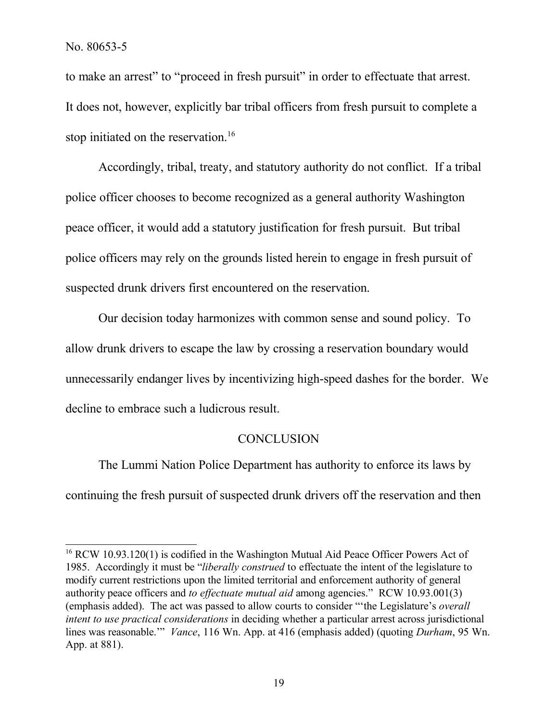to make an arrest" to "proceed in fresh pursuit" in order to effectuate that arrest. It does not, however, explicitly bar tribal officers from fresh pursuit to complete a stop initiated on the reservation.<sup>16</sup>

Accordingly, tribal, treaty, and statutory authority do not conflict. If a tribal police officer chooses to become recognized as a general authority Washington peace officer, it would add a statutory justification for fresh pursuit. But tribal police officers may rely on the grounds listed herein to engage in fresh pursuit of suspected drunk drivers first encountered on the reservation.

Our decision today harmonizes with common sense and sound policy. To allow drunk drivers to escape the law by crossing a reservation boundary would unnecessarily endanger lives by incentivizing high-speed dashes for the border. We decline to embrace such a ludicrous result.

### **CONCLUSION**

The Lummi Nation Police Department has authority to enforce its laws by continuing the fresh pursuit of suspected drunk drivers off the reservation and then

<sup>&</sup>lt;sup>16</sup> RCW 10.93.120(1) is codified in the Washington Mutual Aid Peace Officer Powers Act of 1985. Accordingly it must be "*liberally construed* to effectuate the intent of the legislature to modify current restrictions upon the limited territorial and enforcement authority of general authority peace officers and *to effectuate mutual aid* among agencies." RCW 10.93.001(3) (emphasis added). The act was passed to allow courts to consider "'the Legislature's *overall intent to use practical considerations* in deciding whether a particular arrest across jurisdictional lines was reasonable.'" *Vance*, 116 Wn. App. at 416 (emphasis added) (quoting *Durham*, 95 Wn. App. at 881).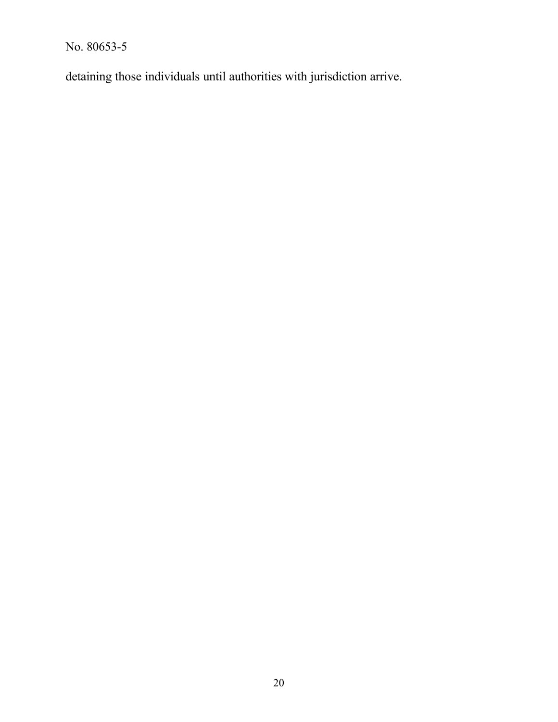detaining those individuals until authorities with jurisdiction arrive.